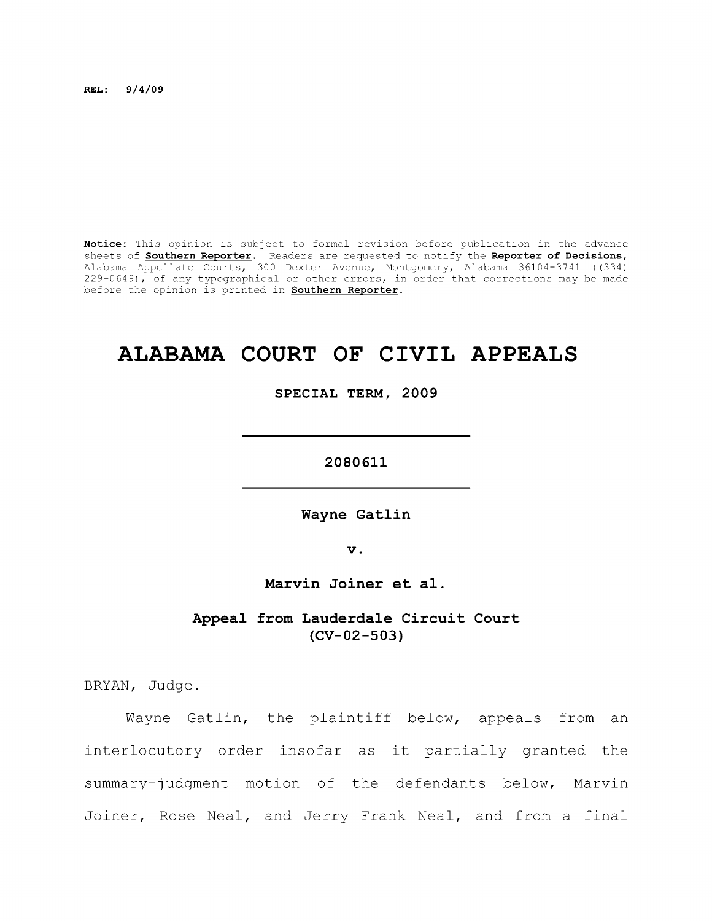**REL: 9/4/09** 

**Notice:** This opinion is subject to formal revision before publication in the advance sheets of **Southern Reporter.** Readers are requested to notify the **Reporter of Decisions,**  Alabama Appellate Courts, 300 Dexter Avenue, Montgomery, Alabama 36104-3741 ((334) 229-0649), of any typographical or other errors, in order that corrections may be made before the opinion is printed in **Southern Reporter.** 

# **ALABAMA COURT OF CIVIL APPEALS**

**SPECIAL TERM, 2009** 

**2080611** 

**Wayne Gatlin** 

**V .** 

**Marvin Joiner et al.** 

**Appeal from Lauderdale Circuit Court (CV-02-503)** 

BRYAN, Judge.

Wayne Gatlin, the plaintiff below, appeals from an interlocutory order insofar as it partially granted the summary-judgment motion of the defendants below, Marvin Joiner, Rose Neal, and Jerry Frank Neal, and from a final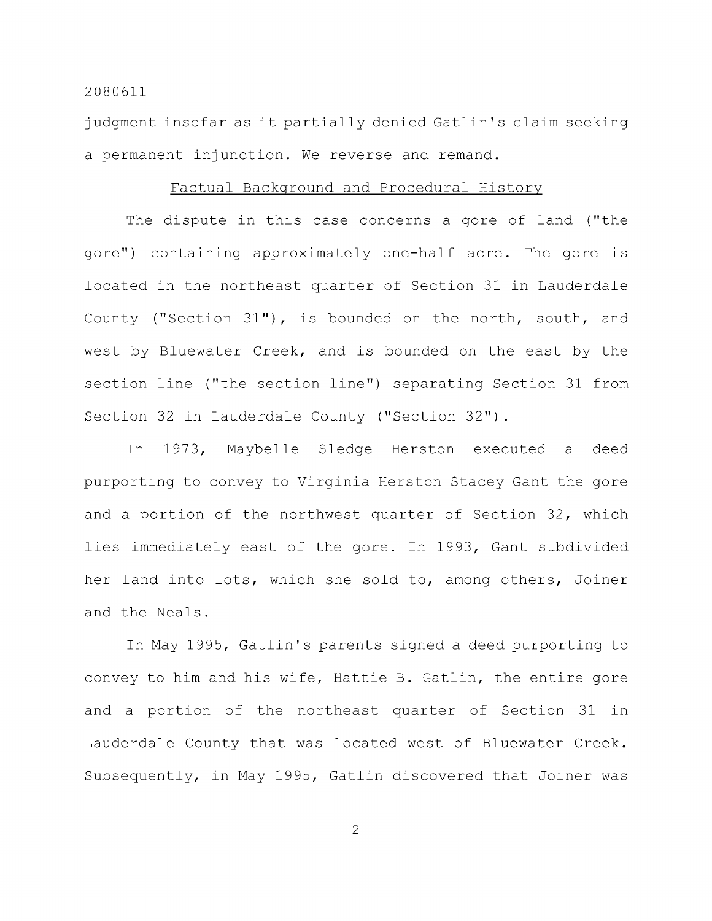judgment insofar as it partially denied Gatlin's claim seeking a permanent injunction. We reverse and remand.

## Factual Background and Procedural History

The dispute in this case concerns a gore of land ("the gore") containing approximately one-half acre. The gore is located in the northeast quarter of Section 31 in Lauderdale County ("Section 31"), is bounded on the north, south, and west by Bluewater Creek, and is bounded on the east by the section line ("the section line") separating Section 31 from Section 32 in Lauderdale County ("Section 32") .

In 1973, Maybelle Sledge Herston executed a deed purporting to convey to Virginia Herston Stacey Gant the gore and a portion of the northwest quarter of Section 32, which lies immediately east of the gore. In 1993, Gant subdivided her land into lots, which she sold to, among others, Joiner and the Neals.

In May 1995, Gatlin's parents signed a deed purporting to convey to him and his wife, Hattie B. Gatlin, the entire gore and a portion of the northeast quarter of Section 31 in Lauderdale County that was located west of Bluewater Creek. Subsequently, in May 1995, Gatlin discovered that Joiner was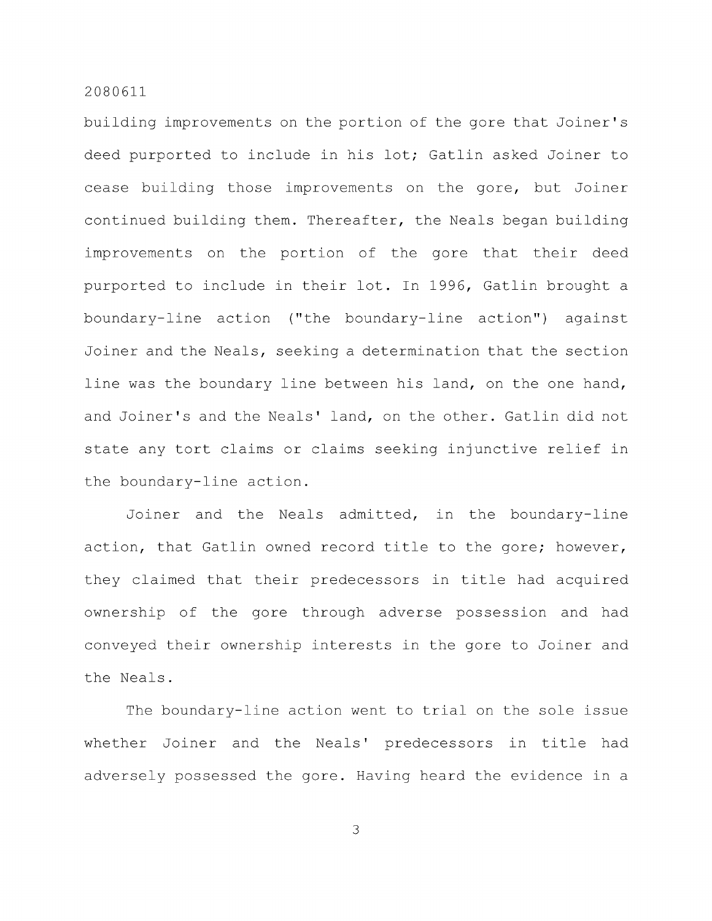building improvements on the portion of the gore that Joiner's deed purported to include in his lot; Gatlin asked Joiner to cease building those improvements on the gore, but Joiner continued building them. Thereafter, the Neals began building improvements on the portion of the gore that their deed purported to include in their lot. In 1996, Gatlin brought a boundary-line action ("the boundary-line action") against Joiner and the Neals, seeking a determination that the section line was the boundary line between his land, on the one hand, and Joiner's and the Neals' land, on the other. Gatlin did not state any tort claims or claims seeking injunctive relief in the boundary-line action.

Joiner and the Neals admitted, in the boundary-line action, that Gatlin owned record title to the gore; however, they claimed that their predecessors in title had acquired ownership of the gore through adverse possession and had conveyed their ownership interests in the gore to Joiner and the Neals.

The boundary-line action went to trial on the sole issue whether Joiner and the Neals' predecessors in title had adversely possessed the gore. Having heard the evidence in a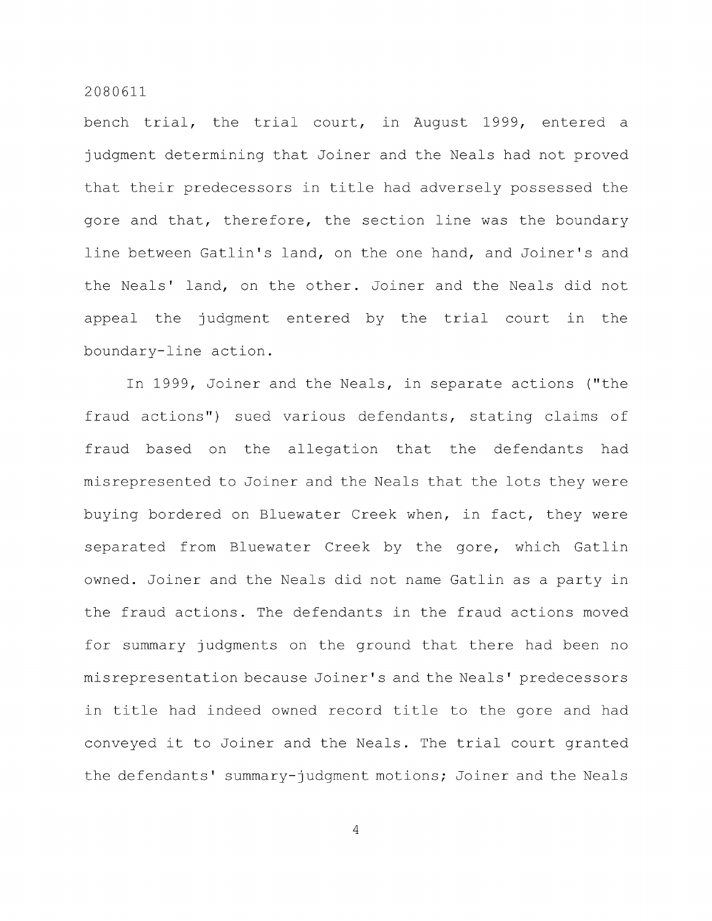bench trial, the trial court, in August 1999, entered a judgment determining that Joiner and the Neals had not proved that their predecessors in title had adversely possessed the gore and that, therefore, the section line was the boundary line between Gatlin's land, on the one hand, and Joiner's and the Neals' land, on the other. Joiner and the Neals did not appeal the judgment entered by the trial court in the boundary-line action.

In 1999, Joiner and the Neals, in separate actions ("the fraud actions") sued various defendants, stating claims of fraud based on the allegation that the defendants had misrepresented to Joiner and the Neals that the lots they were buying bordered on Bluewater Creek when, in fact, they were separated from Bluewater Creek by the gore, which Gatlin owned. Joiner and the Neals did not name Gatlin as a party in the fraud actions. The defendants in the fraud actions moved for summary judgments on the ground that there had been no misrepresentation because Joiner's and the Neals' predecessors in title had indeed owned record title to the gore and had conveyed it to Joiner and the Neals. The trial court granted the defendants' summary-judgment motions; Joiner and the Neals

 $\overline{4}$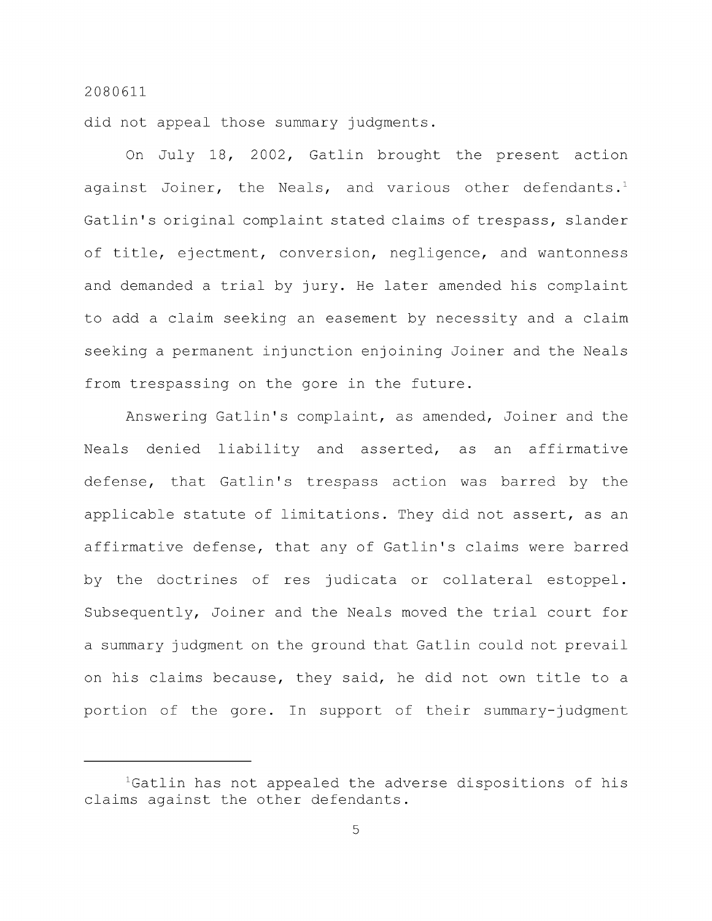did not appeal those summary judgments.

On July 18, 2002, Gatlin brought the present action against Joiner, the Neals, and various other defendants.<sup>1</sup> Gatlin's original complaint stated claims of trespass, slander of title, ejectment, conversion, negligence, and wantonness and demanded a trial by jury. He later amended his complaint to add a claim seeking an easement by necessity and a claim seeking a permanent injunction enjoining Joiner and the Neals from trespassing on the gore in the future.

Answering Gatlin's complaint, as amended, Joiner and the Neals denied liability and asserted, as an affirmative defense, that Gatlin's trespass action was barred by the applicable statute of limitations. They did not assert, as an affirmative defense, that any of Gatlin's claims were barred by the doctrines of res judicata or collateral estoppel. Subsequently, Joiner and the Neals moved the trial court for a summary judgment on the ground that Gatlin could not prevail on his claims because, they said, he did not own title to a portion of the gore. In support of their summary-judgment

<sup>&</sup>lt;sup>1</sup>Gatlin has not appealed the adverse dispositions of his claims against the other defendants.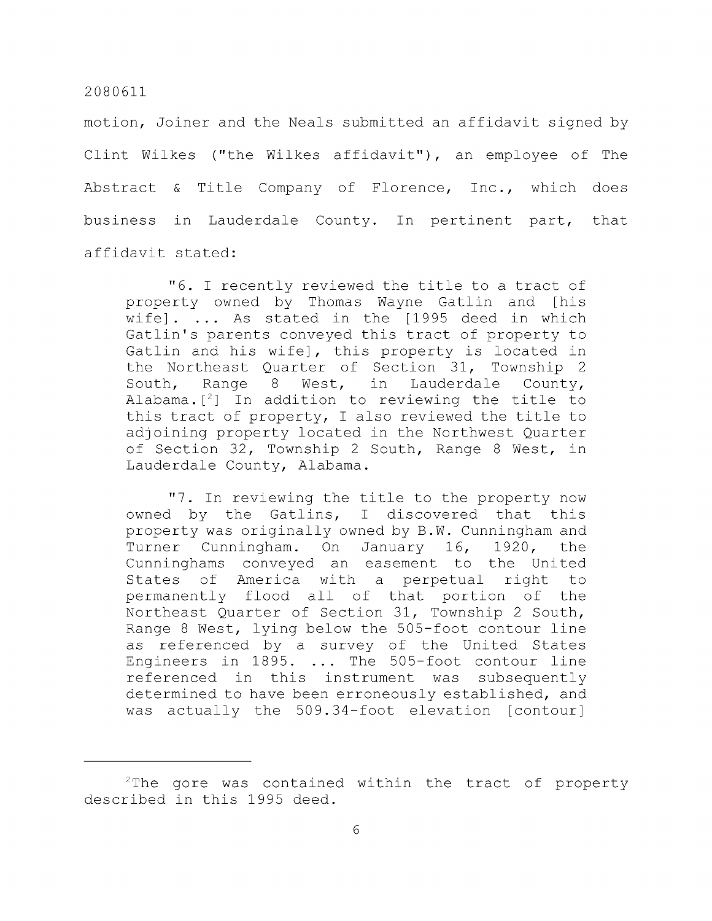motion. Joiner and the Neals submitted an affidavit signed by Clint Wilkes ("the Wilkes affidavit"), an employee of The Abstract & Title Company of Florence, Inc., which does business in Lauderdale County. In pertinent part, that affidavit stated:

"6. I recently reviewed the title to a tract of property owned by Thomas Wayne Gatlin and [his wife]. ... As stated in the [1995 deed in which Gatlin's parents conveyed this tract of property to Gatlin and his wife], this property is located in the Northeast Quarter of Section 31, Township 2 South, Range 8 West, in Lauderdale County, Alabama. $[^2]$  In addition to reviewing the title to this tract of property, I also reviewed the title to adjoining property located in the Northwest Quarter of Section 32, Township 2 South, Range 8 West, in Lauderdale County, Alabama.

"7. In reviewing the title to the property now owned by the Gatlins, I discovered that this property was originally owned by B.W. Cunningham and Turner Cunningham. On January 16, 1920, the Cunninghams conveyed an easement to the United States of America with a perpetual right to permanently flood all of that portion of the Northeast Quarter of Section 31, Township 2 South, Range 8 West, lying below the 505-foot contour line as referenced by a survey of the United States Engineers in 1895. ... The 505-foot contour line referenced in this instrument was subsequently determined to have been erroneously established, and was actually the 509.34-foot elevation [contour]

 $2$ The gore was contained within the tract of property described in this 1995 deed.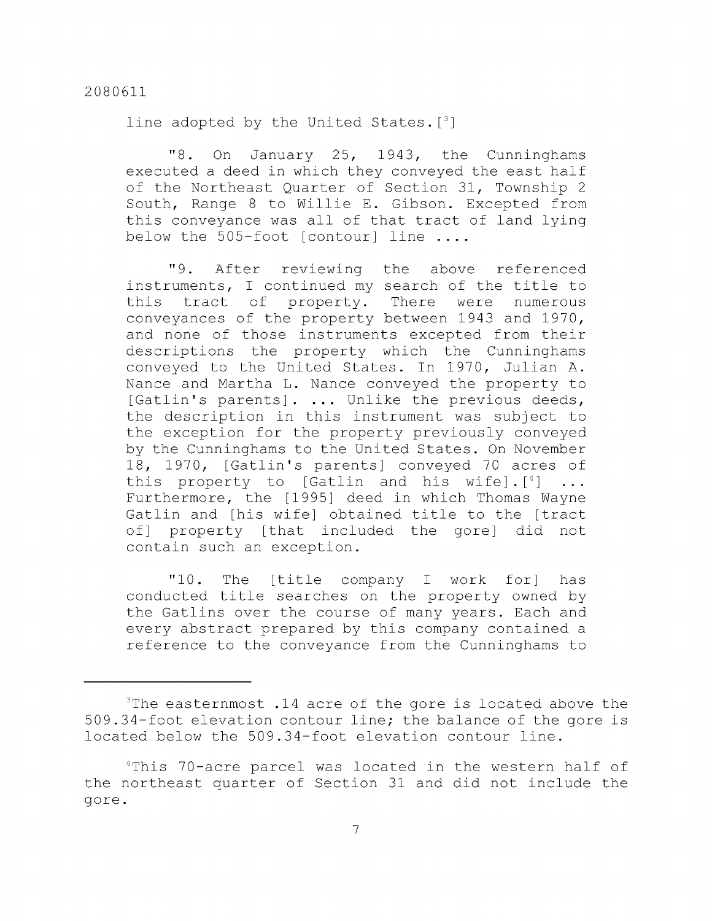line adopted by the United States.  $[3]$ 

"8. On January 25, 1943, the Cunninghams executed a deed in which they conveyed the east half of the Northeast Quarter of Section 31, Township 2 South, Range 8 to Willie E. Gibson. Excepted from this conveyance was all of that tract of land lying below the 505-foot [contour] line ....

"9. After reviewing the above referenced instruments, I continued my search of the title to this tract of property. There were numerous conveyances of the property between 1943 and 1970, and none of those instruments excepted from their descriptions the property which the Cunninghams conveyed to the United States. In 1970, Julian A. Nance and Martha L. Nance conveyed the property to [Gatlin's parents]. ... Unlike the previous deeds, the description in this instrument was subject to the exception for the property previously conveyed by the Cunninghams to the United States. On November 18, 1970, [Gatlin's parents] conveyed 70 acres of this property to [Gatlin and his wife].  $[^4]$  ... Furthermore, the [1995] deed in which Thomas Wayne Gatlin and [his wife] obtained title to the [tract of] property [that included the gore] did not contain such an exception.

"10. The [title company I work for] has conducted title searches on the property owned by the Gatlins over the course of many years. Each and every abstract prepared by this company contained a reference to the conveyance from the Cunninghams to

 $3$ The easternmost .14 acre of the gore is located above the 509.34-foot elevation contour line; the balance of the gore is located below the 509.34-foot elevation contour line.

<sup>&</sup>lt;sup>4</sup>This 70-acre parcel was located in the western half of the northeast quarter of Section 31 and did not include the gore.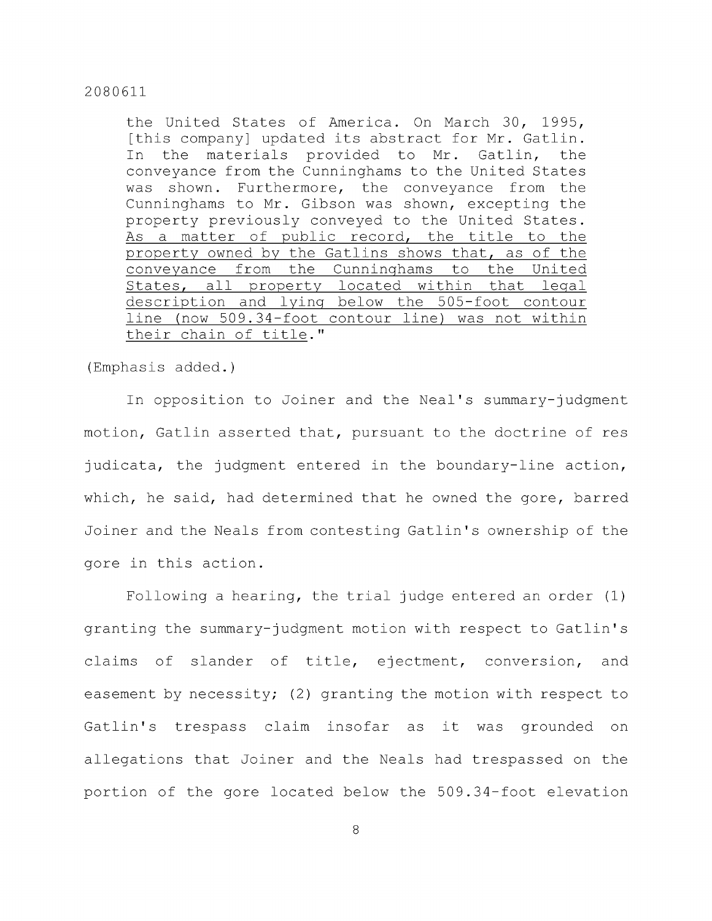the United States of America. On March 30, 1995, [this company] updated its abstract for Mr. Gatlin. In the materials provided to Mr. Gatlin, the conveyance from the Cunninghams to the United States was shown. Furthermore, the conveyance from the Cunninghams to Mr. Gibson was shown, excepting the property previously conveyed to the United States. As a matter of public record, the title to the property owned by the Gatlins shows that, as of the conveyance from the Cunninghams to the United States, all property located within that legal description and lying below the 505-foot contour line (now 509.34-foot contour line) was not within their chain of title."

(Emphasis added.)

In opposition to Joiner and the Neal's summary-judgment motion, Gatlin asserted that, pursuant to the doctrine of res judicata, the judgment entered in the boundary-line action, which, he said, had determined that he owned the gore, barred Joiner and the Neals from contesting Gatlin's ownership of the gore in this action.

Following a hearing, the trial judge entered an order (1) granting the summary-judgment motion with respect to Gatlin's claims of slander of title, ejectment, conversion, and easement by necessity; (2) granting the motion with respect to Gatlin's trespass claim insofar as it was grounded on allegations that Joiner and the Neals had trespassed on the portion of the gore located below the 509.34-foot elevation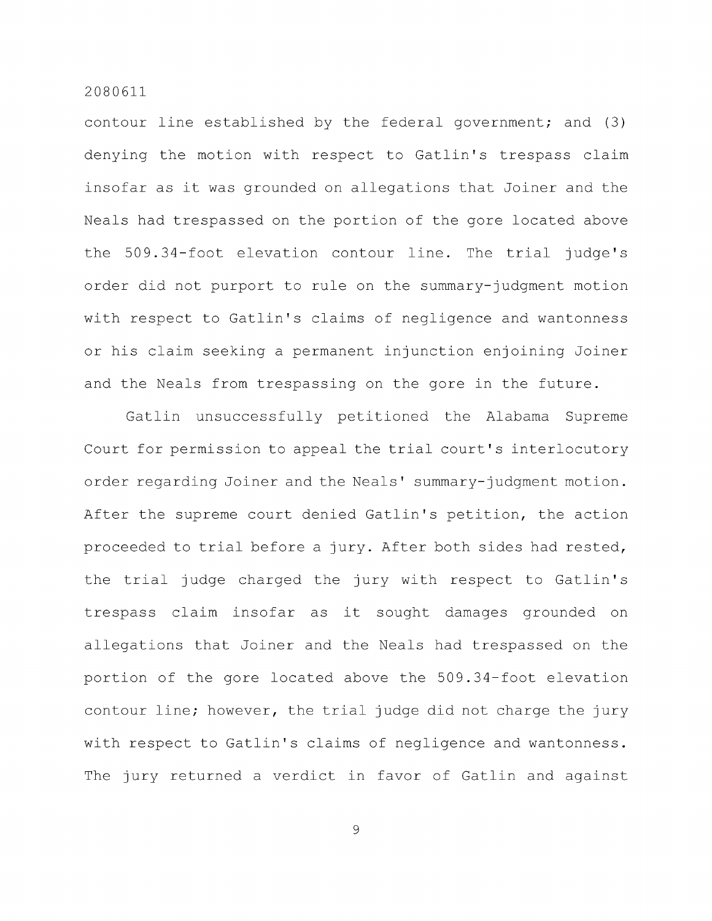contour line established by the federal government; and (3) denying the motion with respect to Gatlin's trespass claim insofar as it was grounded on allegations that Joiner and the Neals had trespassed on the portion of the gore located above the 509.34-foot elevation contour line. The trial judge's order did not purport to rule on the summary-judgment motion with respect to Gatlin's claims of negligence and wantonness or his claim seeking a permanent injunction enjoining Joiner and the Neals from trespassing on the gore in the future.

Gatlin unsuccessfully petitioned the Alabama Supreme Court for permission to appeal the trial court's interlocutory order regarding Joiner and the Neals' summary-judgment motion. After the supreme court denied Gatlin's petition, the action proceeded to trial before a jury. After both sides had rested, the trial judge charged the jury with respect to Gatlin's trespass claim insofar as it sought damages grounded on allegations that Joiner and the Neals had trespassed on the portion of the gore located above the 509.34-foot elevation contour line; however, the trial judge did not charge the jury with respect to Gatlin's claims of negligence and wantonness. The jury returned a verdict in favor of Gatlin and against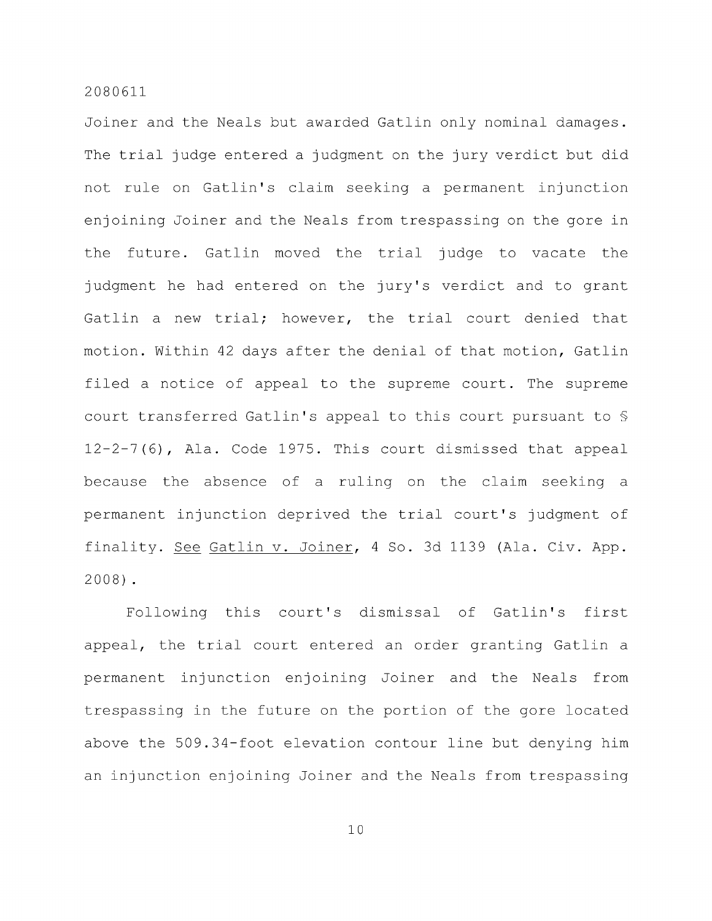Joiner and the Neals but awarded Gatlin only nominal damages. The trial judge entered a judgment on the jury verdict but did not rule on Gatlin's claim seeking a permanent injunction enjoining Joiner and the Neals from trespassing on the gore in the future. Gatlin moved the trial judge to vacate the judgment he had entered on the jury's verdict and to grant Gatlin a new trial; however, the trial court denied that motion. Within 42 days after the denial of that motion, Gatlin filed a notice of appeal to the supreme court. The supreme court transferred Gatlin's appeal to this court pursuant to § 12-2-7(6), Ala. Code 1975. This court dismissed that appeal because the absence of a ruling on the claim seeking a permanent injunction deprived the trial court's judgment of finality. See Gatlin v. Joiner, 4 So. 3d 1139 (Ala. Civ. App. 2008) .

Following this court's dismissal of Gatlin's first appeal, the trial court entered an order granting Gatlin a permanent injunction enjoining Joiner and the Neals from trespassing in the future on the portion of the gore located above the 509.34-foot elevation contour line but denying him an injunction enjoining Joiner and the Neals from trespassing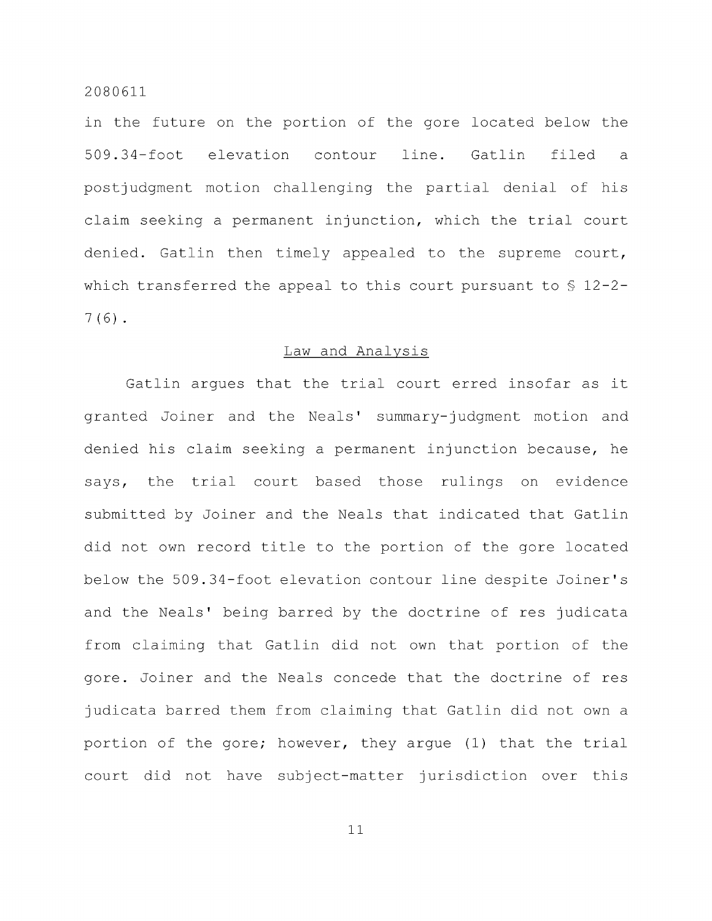in the future on the portion of the gore located below the 509.34-foot elevation contour line. Gatlin filed a postjudgment motion challenging the partial denial of his claim seeking a permanent injunction, which the trial court denied. Gatlin then timely appealed to the supreme court, which transferred the appeal to this court pursuant to § 12-2- 7(6) .

#### Law and Analysis

Gatlin argues that the trial court erred insofar as it granted Joiner and the Neals' summary-judgment motion and denied his claim seeking a permanent injunction because, he says, the trial court based those rulings on evidence submitted by Joiner and the Neals that indicated that Gatlin did not own record title to the portion of the gore located below the 509.34-foot elevation contour line despite Joiner's and the Neals' being barred by the doctrine of res judicata from claiming that Gatlin did not own that portion of the gore. Joiner and the Neals concede that the doctrine of res judicata barred them from claiming that Gatlin did not own a portion of the gore; however, they argue (1) that the trial court did not have subject-matter jurisdiction over this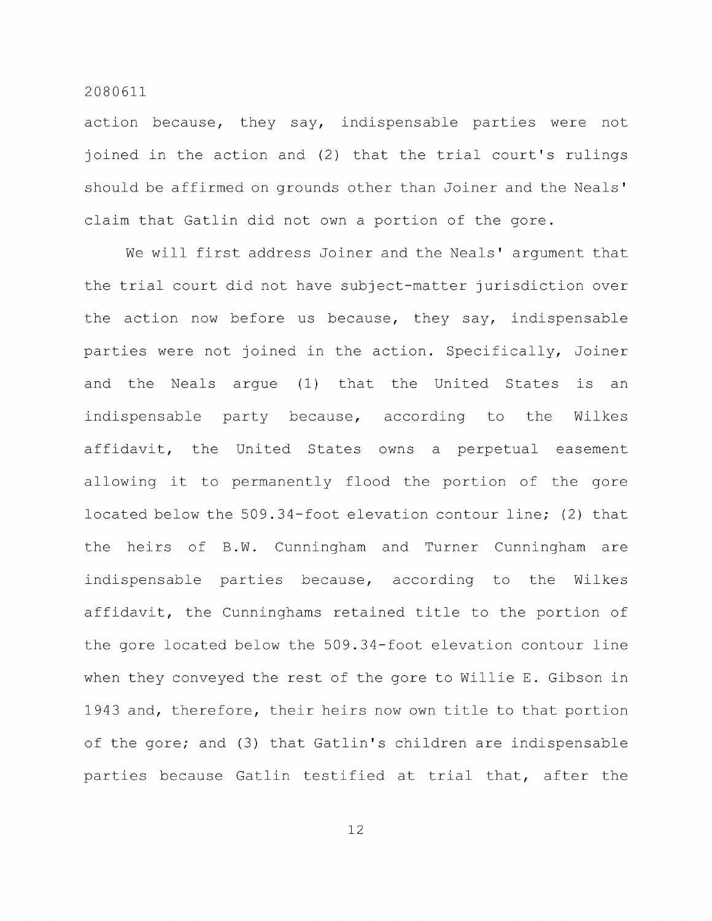action because, they say, indispensable parties were not joined in the action and (2) that the trial court's rulings should be affirmed on grounds other than Joiner and the Neals' claim that Gatlin did not own a portion of the gore.

We will first address Joiner and the Neals' argument that the trial court did not have subject-matter jurisdiction over the action now before us because, they say, indispensable parties were not joined in the action. Specifically, Joiner and the Neals argue (1) that the United States is an indispensable party because, according to the Wilkes affidavit, the United States owns a perpetual easement allowing it to permanently flood the portion of the gore located below the 509.34-foot elevation contour line; (2) that the heirs of B.W. Cunningham and Turner Cunningham are indispensable parties because, according to the Wilkes affidavit, the Cunninghams retained title to the portion of the gore located below the 509.34-foot elevation contour line when they conveyed the rest of the gore to Willie E. Gibson in 1943 and, therefore, their heirs now own title to that portion of the gore; and (3) that Gatlin's children are indispensable parties because Gatlin testified at trial that, after the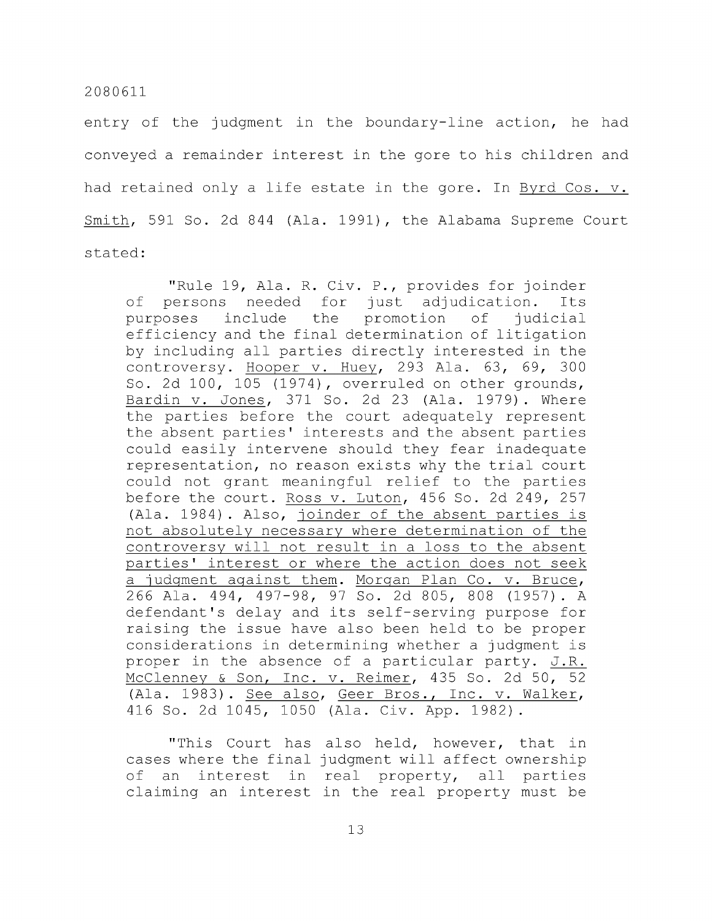entry of the judgment in the boundary-line action, he had conveyed a remainder interest in the gore to his children and had retained only a life estate in the gore. In Byrd Cos. v. Smith, 591 So. 2d 844 (Ala. 1991), the Alabama Supreme Court stated:

"Rule 19, Ala. R. Civ. P., provides for joinder of persons needed for just adjudication. Its purposes include the promotion of judicial efficiency and the final determination of litigation by including all parties directly interested in the controversy. Hooper v. Huey, 293 Ala. 63, 69, 300 So. 2d 100, 105 (1974), overruled on other grounds, Bardin v. Jones, 371 So. 2d 23 (Ala. 1979). Where the parties before the court adequately represent the absent parties' interests and the absent parties could easily intervene should they fear inadequate representation, no reason exists why the trial court could not grant meaningful relief to the parties before the court. Ross v. Luton, 456 So. 2d 249, 257 (Ala. 1984) . Also, joinder of the absent parties is not absolutely necessary where determination of the controversy will not result in a loss to the absent parties' interest or where the action does not seek a judgment against them. Morgan Plan Co. v. Bruce, 266 Ala. 494, 497-98, 97 So. 2d 805, 808 (1957). A defendant's delay and its self-serving purpose for raising the issue have also been held to be proper considerations in determining whether a judgment is proper in the absence of a particular party. J.R. McClenney & Son, Inc. v. Reimer, 435 So. 2d 50, 52 (Ala. 1983). See also, Geer Bros., Inc. v. Walker, 416 So. 2d 1045, 1050 (Ala. Civ. App. 1982).

"This Court has also held, however, that in cases where the final judgment will affect ownership of an interest in real property, all parties claiming an interest in the real property must be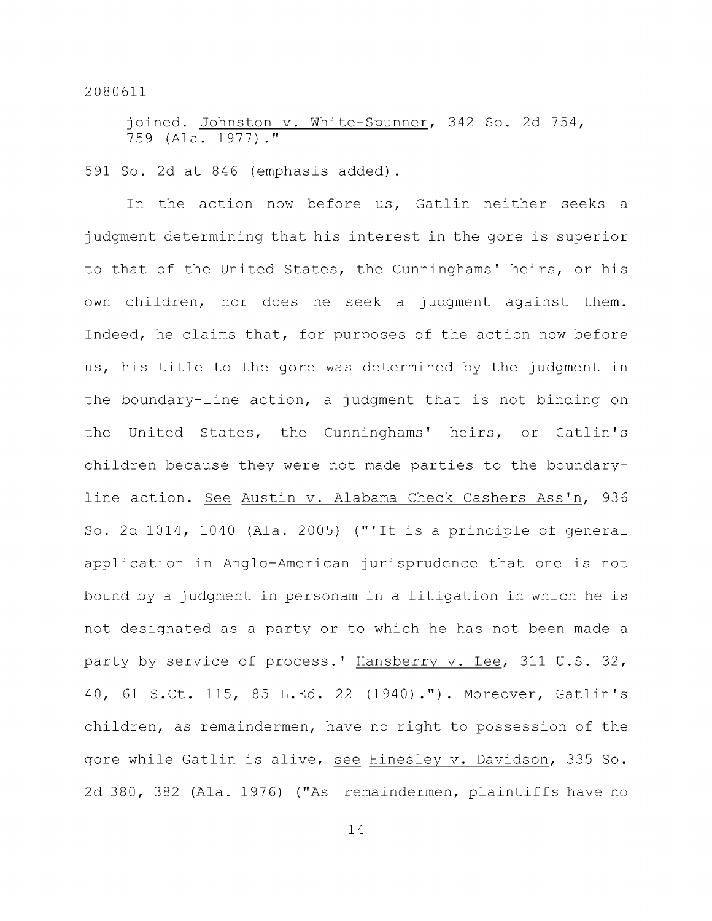joined. Johnston v. White-Spunner, 342 So. 2d 754, 759 (Ala. 1977)."

591 So. 2d at 846 (emphasis added).

In the action now before us, Gatlin neither seeks a judgment determining that his interest in the gore is superior to that of the United States, the Cunninghams' heirs, or his own children, nor does he seek a judgment against them. Indeed, he claims that, for purposes of the action now before us, his title to the gore was determined by the judgment in the boundary-line action, a judgment that is not binding on the United States, the Cunninghams' heirs, or Gatlin's children because they were not made parties to the boundaryline action. See Austin v. Alabama Check Cashers Ass'n, 936 So. 2d 1014, 1040 (Ala. 2005) ("'It is a principle of general application in Anglo-American jurisprudence that one is not bound by a judgment in personam in a litigation in which he is not designated as a party or to which he has not been made a party by service of process.' Hansberry v. Lee, 311 U.S. 32, 40, 61 S.Ct. 115, 85 L.Ed. 22 (1940)."). Moreover, Gatlin's children, as remaindermen, have no right to possession of the gore while Gatlin is alive, see Hinesley v. Davidson, 335 So. 2d 380, 382 (Ala. 1976) ("As remaindermen, plaintiffs have no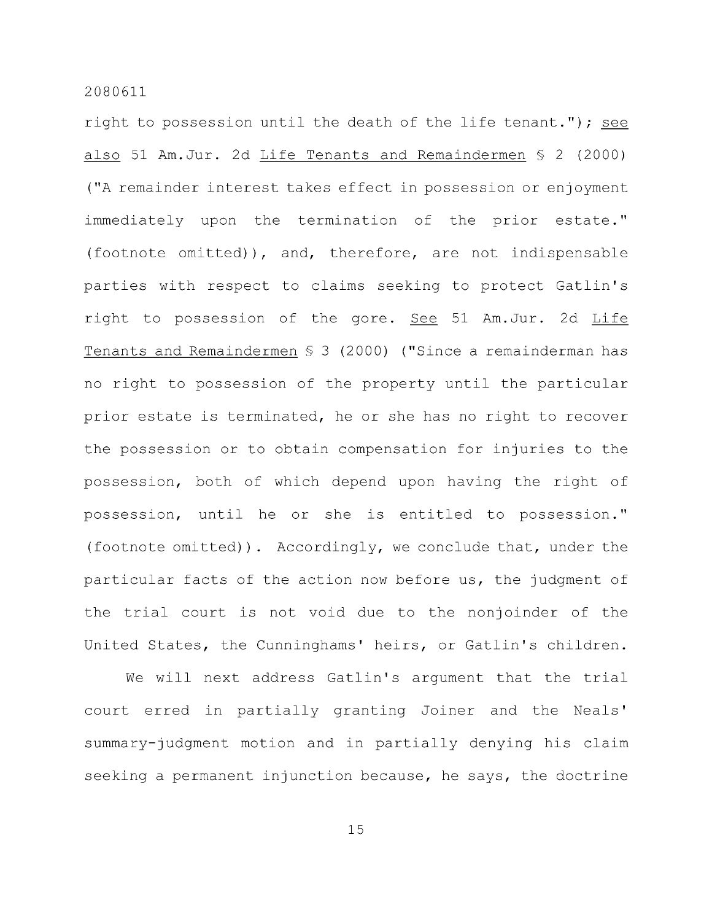right to possession until the death of the life tenant."); see also 51 Am.Jur. 2d Life Tenants and Remaindermen § 2 (2000) ("A remainder interest takes effect in possession or enjoyment immediately upon the termination of the prior estate." (footnote omitted)), and, therefore, are not indispensable parties with respect to claims seeking to protect Gatlin's right to possession of the gore. See 51 Am.Jur. 2d Life Tenants and Remaindermen § 3 (2000) ("Since a remainderman has no right to possession of the property until the particular prior estate is terminated, he or she has no right to recover the possession or to obtain compensation for injuries to the possession, both of which depend upon having the right of possession, until he or she is entitled to possession." (footnote omitted)). Accordingly, we conclude that, under the particular facts of the action now before us, the judgment of the trial court is not void due to the nonjoinder of the United States, the Cunninghams' heirs, or Gatlin's children.

We will next address Gatlin's argument that the trial court erred in partially granting Joiner and the Neals' summary-judgment motion and in partially denying his claim seeking a permanent injunction because, he says, the doctrine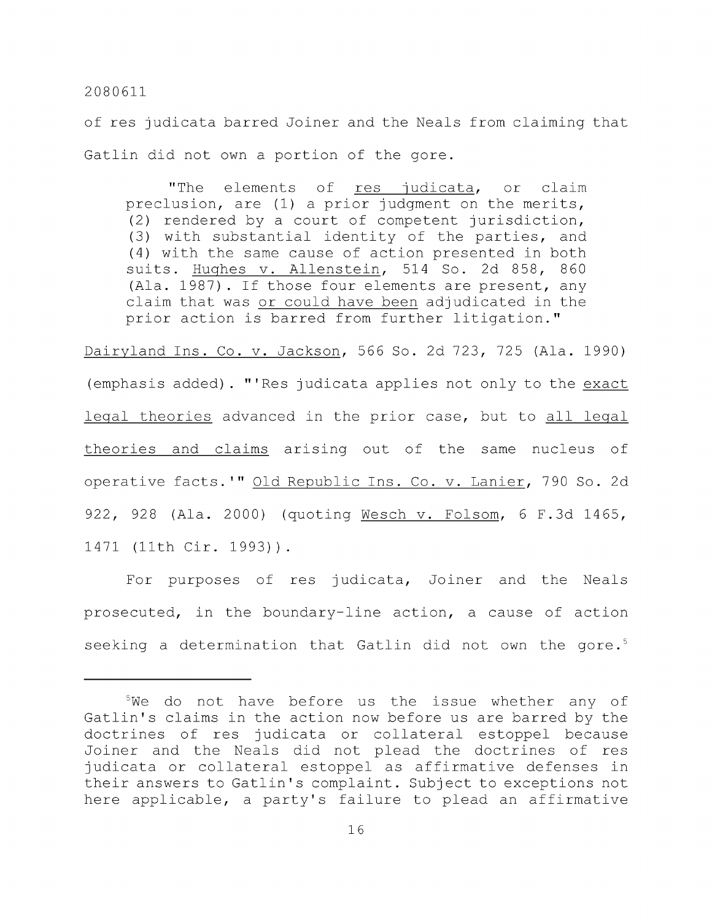of res judicata barred Joiner and the Neals from claiming that Gatlin did not own a portion of the gore.

"The elements of res judicata, or claim preclusion, are (1) a prior judgment on the merits, (2) rendered by a court of competent jurisdiction, (3) with substantial identity of the parties, and (4) with the same cause of action presented in both suits. Hughes v. Allenstein, 514 So. 2d 858, 860 (Ala. 1987) . If those four elements are present, any claim that was or could have been adjudicated in the prior action is barred from further litigation."

Dairyland Ins. Co. v. Jackson, 566 So. 2d 723, 725 (Ala. 1990) (emphasis added). "'Res judicata applies not only to the exact legal theories advanced in the prior case, but to all legal theories and claims arising out of the same nucleus of operative facts.'" Old Republic Ins. Co. v. Lanier, 790 So. 2d 922, 928 (Ala. 2000) (quoting Wesch v. Folsom, 6 F.3d 1465, 1471 (11th Cir. 1993)) .

For purposes of res judicata. Joiner and the Neals prosecuted, in the boundary-line action, a cause of action seeking a determination that Gatlin did not own the gore.<sup>5</sup>

 $5$ We do not have before us the issue whether any of Gatlin's claims in the action now before us are barred by the doctrines of res judicata or collateral estoppel because Joiner and the Neals did not plead the doctrines of res judicata or collateral estoppel as affirmative defenses in their answers to Gatlin's complaint. Subject to exceptions not here applicable, a party's failure to plead an affirmative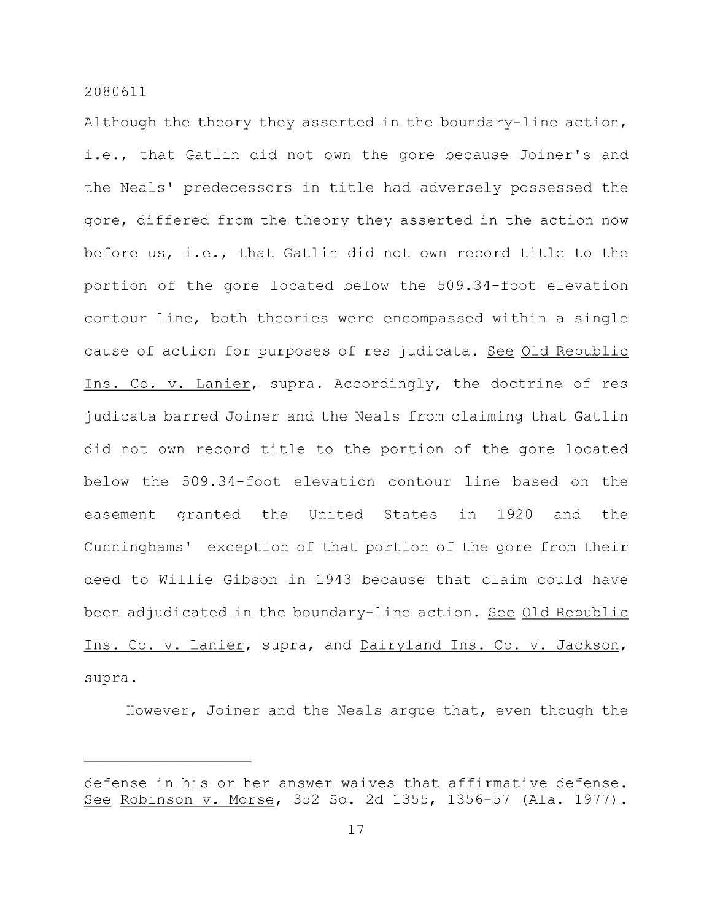Although the theory they asserted in the boundary-line action, i.e., that Gatlin did not own the gore because Joiner's and the Neals' predecessors in title had adversely possessed the gore, differed from the theory they asserted in the action now before us, i.e., that Gatlin did not own record title to the portion of the gore located below the 509.34-foot elevation contour line, both theories were encompassed within a single cause of action for purposes of res judicata. See Old Republic Ins. Co. V. Lanier, supra. Accordingly, the doctrine of res judicata barred Joiner and the Neals from claiming that Gatlin did not own record title to the portion of the gore located below the 509.34-foot elevation contour line based on the easement granted the United States in 1920 and the Cunninghams ' exception of that portion of the gore from their deed to Willie Gibson in 1943 because that claim could have been adjudicated in the boundary-line action. See Old Republic Ins. Co. V. Lanier, supra, and Dairyland Ins. Co. v. Jackson, supra.

However, Joiner and the Neals argue that, even though the

defense in his or her answer waives that affirmative defense. See Robinson v. Morse, 352 So. 2d 1355, 1356-57 (Ala. 1977) .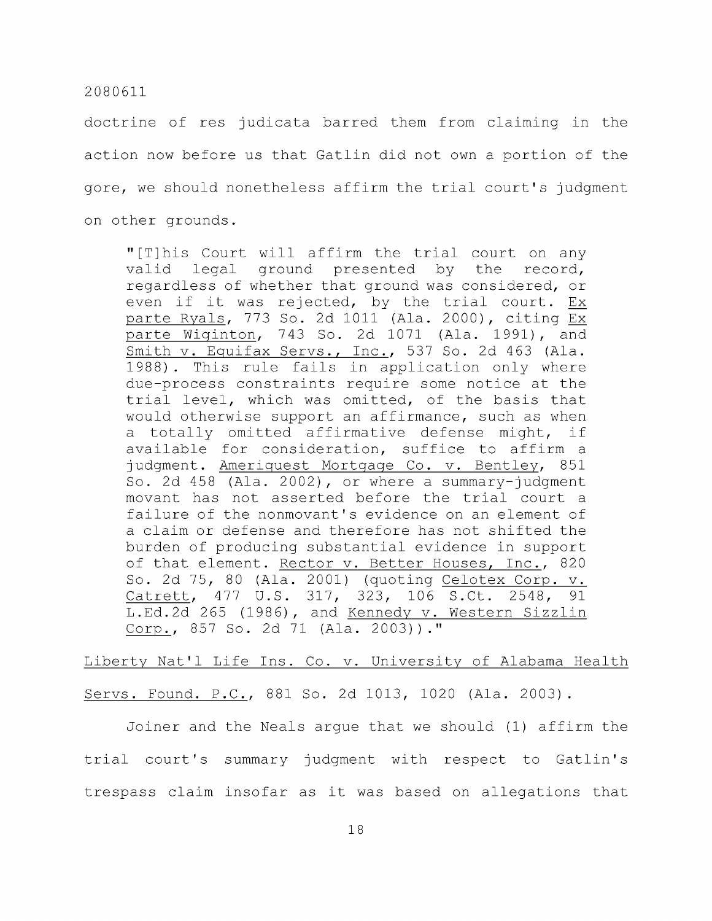doctrine of res judicata barred them from claiming in the action now before us that Gatlin did not own a portion of the gore, we should nonetheless affirm the trial court's judgment on other grounds.

"[T]his Court will affirm the trial court on any valid legal ground presented by the record, regardless of whether that ground was considered, or even if it was rejected, by the trial court. Ex parte Ryals, 773 So. 2d 1011 (Ala. 2000), citing Ex parte Wiginton, 743 So. 2d 1071 (Ala. 1991), and Smith v. Equifax Servs., Inc., 537 So. 2d 463 (Ala. 1988) . This rule fails in application only where due-process constraints require some notice at the trial level, which was omitted, of the basis that would otherwise support an affirmance, such as when a totally omitted affirmative defense might, if available for consideration, suffice to affirm a judgment. Ameriquest Mortgage Co. v. Bentley, 851 So. 2d 458 (Ala. 2002), or where a summary-judgment movant has not asserted before the trial court a failure of the nonmovant's evidence on an element of a claim or defense and therefore has not shifted the burden of producing substantial evidence in support of that element. Rector v. Better Houses, Inc., 820 So. 2d 75, 80 (Ala. 2001) (quoting Celotex Corp. v. Catrett, 477 U.S. 317, 323, 106 S.Ct. 2548, 91 L.Ed.2d 265 (1986), and Kennedy v. Western Sizzlin Corp., 857 So. 2d 71 (Ala. 2003))."

# Liberty Nat'l Life Ins. Co. v. University of Alabama Health

Servs. Found. P.C, 881 So. 2d 1013, 1020 (Ala. 2003) .

Joiner and the Neals argue that we should (1) affirm the trial court's summary judgment with respect to Gatlin's trespass claim insofar as it was based on allegations that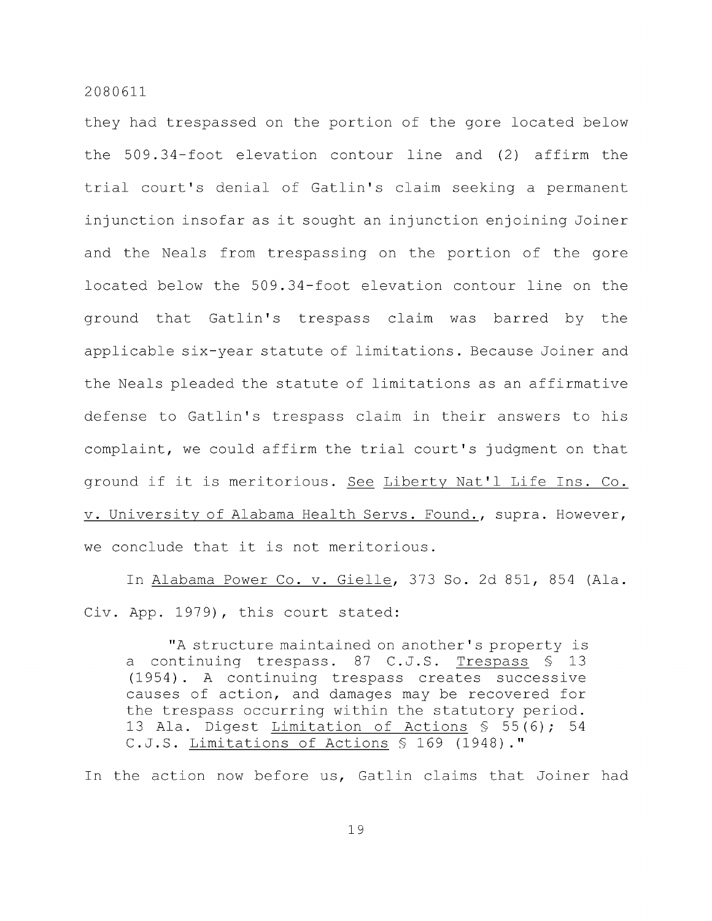they had trespassed on the portion of the gore located below the 509.34-foot elevation contour line and (2) affirm the trial court's denial of Gatlin's claim seeking a permanent injunction insofar as it sought an injunction enjoining Joiner and the Neals from trespassing on the portion of the gore located below the 509.34-foot elevation contour line on the ground that Gatlin's trespass claim was barred by the applicable six-year statute of limitations. Because Joiner and the Neals pleaded the statute of limitations as an affirmative defense to Gatlin's trespass claim in their answers to his complaint, we could affirm the trial court's judgment on that ground if it is meritorious. See Liberty Nat'l Life Ins. Co. V. University of Alabama Health Servs. Found., supra. However, we conclude that it is not meritorious.

In Alabama Power Co. v. Gielle, 373 So. 2d 851, 854 (Ala. Civ. App. 1979), this court stated:

"A structure maintained on another's property is a continuing trespass. 87 C.J.S. Trespass § 13 (1954). A continuing trespass creates successive causes of action, and damages may be recovered for the trespass occurring within the statutory period. 13 Ala. Digest Limitation of Actions § 55(6); 54 C.J.S. Limitations of Actions § 169 (1948)."

In the action now before us, Gatlin claims that Joiner had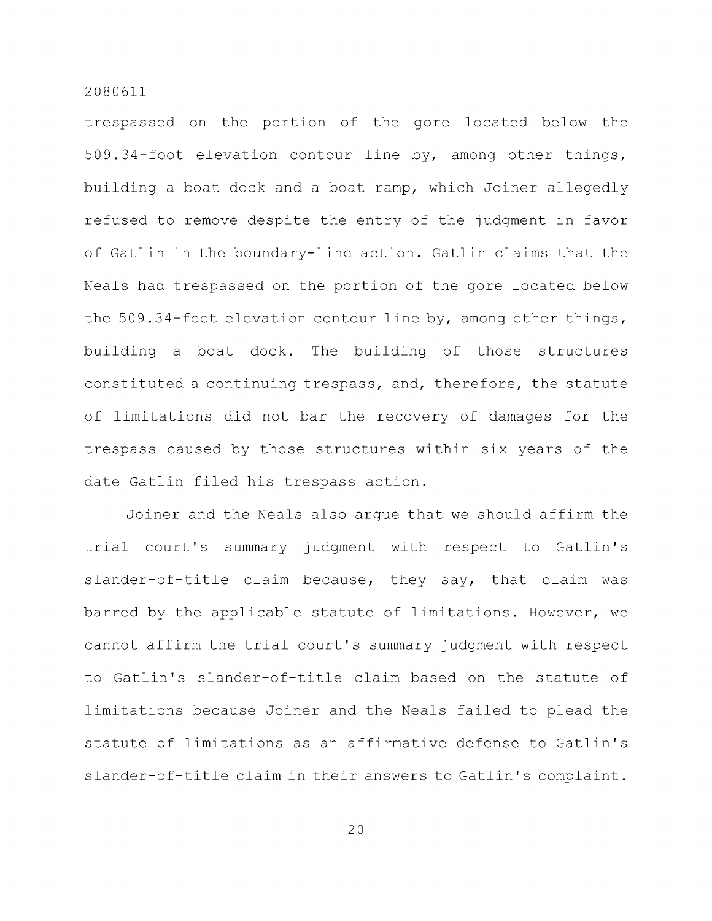trespassed on the portion of the gore located below the 509.34-foot elevation contour line by, among other things, building a boat dock and a boat ramp, which Joiner allegedly refused to remove despite the entry of the judgment in favor of Gatlin in the boundary-line action. Gatlin claims that the Neals had trespassed on the portion of the gore located below the 509.34-foot elevation contour line by, among other things, building a boat dock. The building of those structures constituted a continuing trespass, and, therefore, the statute of limitations did not bar the recovery of damages for the trespass caused by those structures within six years of the date Gatlin filed his trespass action.

Joiner and the Neals also argue that we should affirm the trial court's summary judgment with respect to Gatlin's slander-of-title claim because, they say, that claim was barred by the applicable statute of limitations. However, we cannot affirm the trial court's summary judgment with respect to Gatlin's slander-of-title claim based on the statute of limitations because Joiner and the Neals failed to plead the statute of limitations as an affirmative defense to Gatlin's slander-of-title claim in their answers to Gatlin's complaint.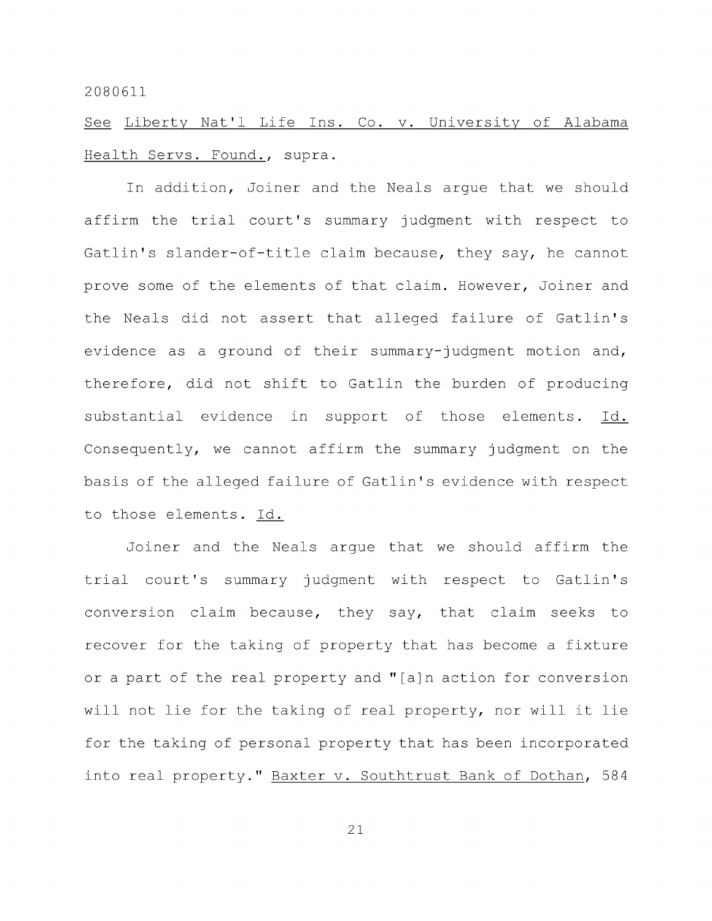See Liberty Nat'l Life Ins. Co. v. University of Alabama Health Servs. Found., supra.

In addition. Joiner and the Neals argue that we should affirm the trial court's summary judgment with respect to Gatlin's slander-of-title claim because, they say, he cannot prove some of the elements of that claim. However, Joiner and the Neals did not assert that alleged failure of Gatlin's evidence as a ground of their summary-judgment motion and, therefore, did not shift to Gatlin the burden of producing substantial evidence in support of those elements. Id. Consequently, we cannot affirm the summary judgment on the basis of the alleged failure of Gatlin's evidence with respect to those elements. Id.

Joiner and the Neals argue that we should affirm the trial court's summary judgment with respect to Gatlin's conversion claim because, they say, that claim seeks to recover for the taking of property that has become a fixture or a part of the real property and "[a]n action for conversion will not lie for the taking of real property, nor will it lie for the taking of personal property that has been incorporated into real property." Baxter v. Southtrust Bank of Dothan, 584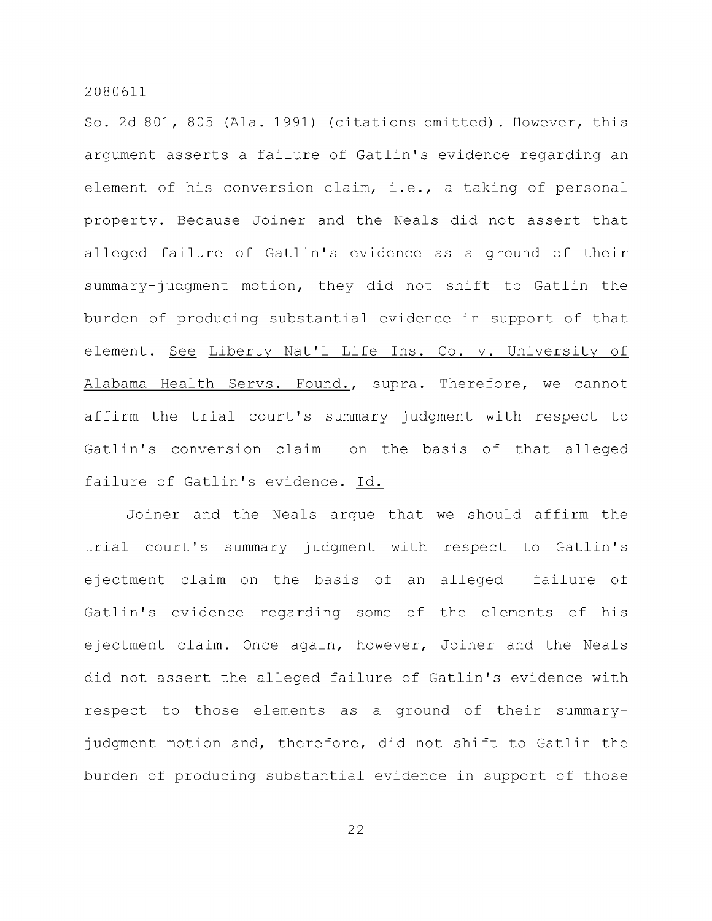So. 2d 801, 805 (Ala. 1991) (citations omitted) . However, this argument asserts a failure of Gatlin's evidence regarding an element of his conversion claim, i.e., a taking of personal property. Because Joiner and the Neals did not assert that alleged failure of Gatlin's evidence as a ground of their summary-judgment motion, they did not shift to Gatlin the burden of producing substantial evidence in support of that element. See Liberty Nat'l Life Ins. Co. v. University of Alabama Health Servs. Found., supra. Therefore, we cannot affirm the trial court's summary judgment with respect to Gatlin's conversion claim on the basis of that alleged failure of Gatlin's evidence. Id.

Joiner and the Neals argue that we should affirm the trial court's summary judgment with respect to Gatlin's ejectment claim on the basis of an alleged failure of Gatlin's evidence regarding some of the elements of his ejectment claim. Once again, however. Joiner and the Neals did not assert the alleged failure of Gatlin's evidence with respect to those elements as a ground of their summaryjudgment motion and, therefore, did not shift to Gatlin the burden of producing substantial evidence in support of those